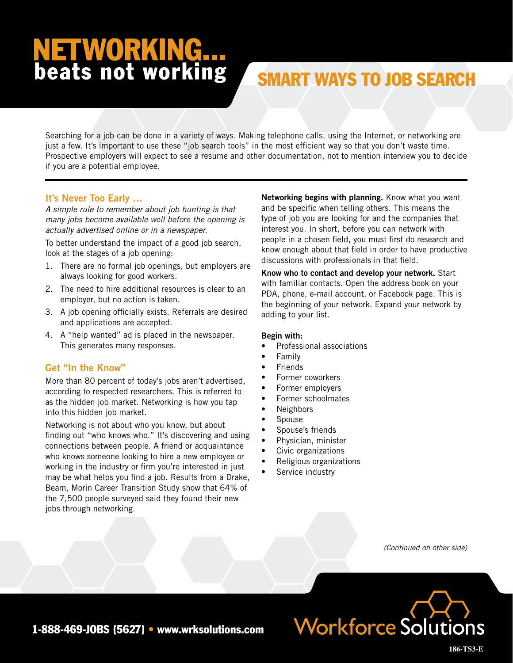# **NETWORKING...**<br>beats not working

# SMART WAYS TO JOB SEARCH

Searching for a job can be done in a variety of ways. Making telephone calls, using the Internet, or networking are just a few. It's important to use these "job search tools" in the most efficient way so that you don't waste time. Prospective employers will expect to see a resume and other documentation, not to mention interview you to decide if you are a potential employee.

### **It's Never Too Early …**

*A simple rule to remember about job hunting is that many jobs become available well before the opening is actually advertised online or in a newspaper.*

To better understand the impact of a good job search, look at the stages of a job opening:

- 1. There are no formal job openings, but employers are always looking for good workers.
- 2. The need to hire additional resources is clear to an employer, but no action is taken.
- 3. A job opening officially exists. Referrals are desired and applications are accepted.
- 4. A "help wanted" ad is placed in the newspaper. This generates many responses.

### **Get "In the Know"**

More than 80 percent of today's jobs aren't advertised, according to respected researchers. This is referred to as the hidden job market. Networking is how you tap into this hidden job market.

Networking is not about who you know, but about finding out "who knows who." It's discovering and using connections between people. A friend or acquaintance who knows someone looking to hire a new employee or working in the industry or firm you're interested in just may be what helps you find a job. Results from a Drake, Beam, Morin Career Transition Study show that 64% of the 7,500 people surveyed said they found their new jobs through networking.

**Networking begins with planning.** Know what you want and be specific when telling others. This means the type of job you are looking for and the companies that interest you. In short, before you can network with people in a chosen field, you must first do research and know enough about that field in order to have productive discussions with professionals in that field.

**Know who to contact and develop your network.** Start with familiar contacts. Open the address book on your PDA, phone, e-mail account, or Facebook page. This is the beginning of your network. Expand your network by adding to your list.

#### **Begin with:**

- Professional associations
- **Family**
- **Friends**
- Former coworkers
- Former employers
- Former schoolmates
- **Neighbors**
- **Spouse**
- Spouse's friends
- Physician, minister
- Civic organizations
- Religious organizations
- Service industry

*(Continued on other side)*